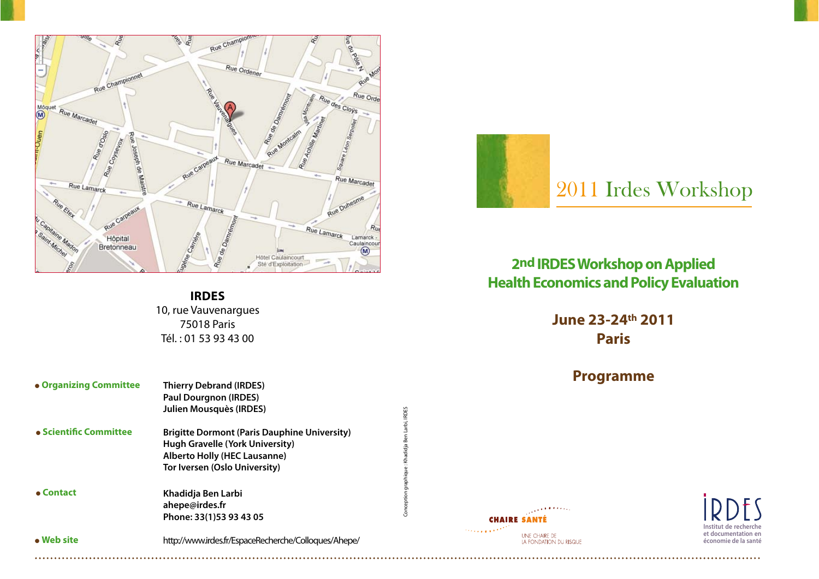

# 2011 Irdes Workshop

### **2nd IRDES Workshop on Applied Health Economics and Policy Evaluation**

**June 23-24th 2011 Paris**

#### **Programme**



**Institut de recherche et documentation en économie de la santé**

فالمعرب

UNE CHAIRE DE LA FONDATION DU RISQUE

**CHAIRE SANTÉ** 

## **IRDES** 10, rue Vauvenargues

75018 Paris Tél. : 01 53 93 43 00